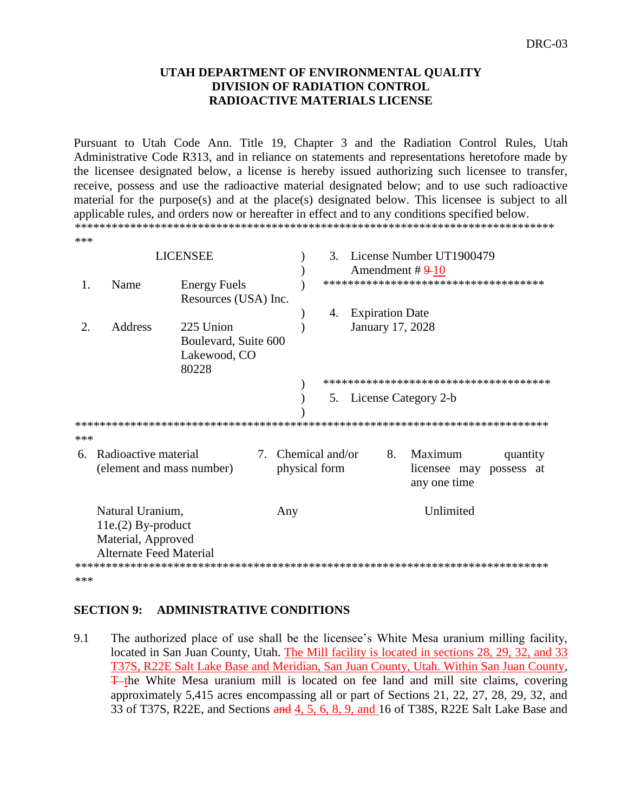#### **UTAH DEPARTMENT OF ENVIRONMENTAL QUALITY DIVISION OF RADIATION CONTROL RADIOACTIVE MATERIALS LICENSE**

Pursuant to Utah Code Ann. Title 19, Chapter 3 and the Radiation Control Rules, Utah Administrative Code R313, and in reliance on statements and representations heretofore made by the licensee designated below, a license is hereby issued authorizing such licensee to transfer, receive, possess and use the radioactive material designated below; and to use such radioactive material for the purpose(s) and at the place(s) designated below. This licensee is subject to all applicable rules, and orders now or hereafter in effect and to any conditions specified below. \*\*\*\*\*\*\*\*\*\*\*\*\*\*\*\*\*\*\*\*\*\*\*\*\*\*\*\*\*\*\*\*\*\*\*\*\*\*\*\*\*\*\*\*\*\*\*\*\*\*\*\*\*\*\*\*\*\*\*\*\*\*\*\*\*\*\*\*\*\*\*\*\*\*\*\*\*\* \*\*\*

| <b>LICENSEE</b> |                                |                                                   |  | License Number UT1900479<br>$\mathcal{F}_{\mathcal{L}}$<br>Amendment # $9-10$ |    |                        |    |                                         |                        |  |
|-----------------|--------------------------------|---------------------------------------------------|--|-------------------------------------------------------------------------------|----|------------------------|----|-----------------------------------------|------------------------|--|
| 1.              | Name                           | <b>Energy Fuels</b><br>Resources (USA) Inc.       |  |                                                                               |    |                        |    | *************************************   |                        |  |
|                 |                                |                                                   |  |                                                                               | 4. | <b>Expiration Date</b> |    |                                         |                        |  |
| $2_{\cdot}$     | Address                        | 225 Union                                         |  |                                                                               |    |                        |    | January 17, 2028                        |                        |  |
|                 |                                | Boulevard, Suite 600                              |  |                                                                               |    |                        |    |                                         |                        |  |
|                 |                                | Lakewood, CO<br>80228                             |  |                                                                               |    |                        |    |                                         |                        |  |
|                 |                                |                                                   |  |                                                                               |    |                        |    | **************************************  |                        |  |
|                 |                                |                                                   |  |                                                                               |    |                        |    | 5. License Category 2-b                 |                        |  |
|                 |                                |                                                   |  |                                                                               |    |                        |    |                                         |                        |  |
|                 |                                |                                                   |  |                                                                               |    |                        |    |                                         |                        |  |
| ***             |                                |                                                   |  |                                                                               |    |                        |    |                                         |                        |  |
| 6.              |                                | Radioactive material<br>(element and mass number) |  | 7. Chemical and/or<br>physical form                                           |    |                        | 8. | Maximum<br>licensee may<br>any one time | quantity<br>possess at |  |
|                 | Natural Uranium,               |                                                   |  | Any                                                                           |    |                        |    | Unlimited                               |                        |  |
|                 | $11e(2) By-product$            |                                                   |  |                                                                               |    |                        |    |                                         |                        |  |
|                 | Material, Approved             |                                                   |  |                                                                               |    |                        |    |                                         |                        |  |
|                 | <b>Alternate Feed Material</b> |                                                   |  |                                                                               |    |                        |    |                                         |                        |  |
| ***             |                                |                                                   |  |                                                                               |    |                        |    |                                         |                        |  |
|                 |                                |                                                   |  |                                                                               |    |                        |    |                                         |                        |  |

#### **SECTION 9: ADMINISTRATIVE CONDITIONS**

9.1 The authorized place of use shall be the licensee's White Mesa uranium milling facility, located in San Juan County, Utah. The Mill facility is located in sections 28, 29, 32, and 33 T37S, R22E Salt Lake Base and Meridian, San Juan County, Utah. Within San Juan County, T<sub>the</sub> White Mesa uranium mill is located on fee land and mill site claims, covering approximately 5,415 acres encompassing all or part of Sections 21, 22, 27, 28, 29, 32, and 33 of T37S, R22E, and Sections and 4, 5, 6, 8, 9, and 16 of T38S, R22E Salt Lake Base and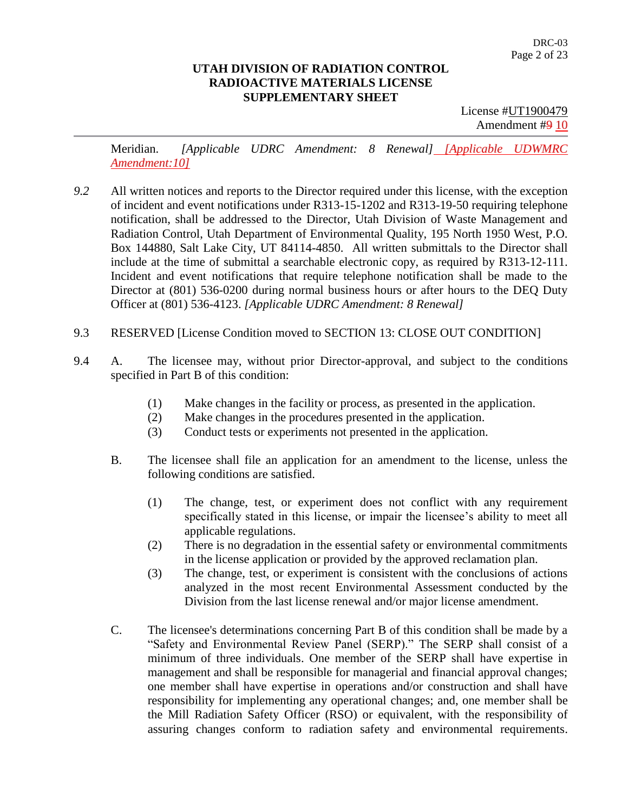License #UT1900479 Amendment #9 10

Meridian. *[Applicable UDRC Amendment: 8 Renewal] [Applicable UDWMRC Amendment:10]*

- *9.2* All written notices and reports to the Director required under this license, with the exception of incident and event notifications under R313-15-1202 and R313-19-50 requiring telephone notification, shall be addressed to the Director, Utah Division of Waste Management and Radiation Control, Utah Department of Environmental Quality, 195 North 1950 West, P.O. Box 144880, Salt Lake City, UT 84114-4850. All written submittals to the Director shall include at the time of submittal a searchable electronic copy, as required by R313-12-111. Incident and event notifications that require telephone notification shall be made to the Director at (801) 536-0200 during normal business hours or after hours to the DEQ Duty Officer at (801) 536-4123. *[Applicable UDRC Amendment: 8 Renewal]*
- 9.3 RESERVED [License Condition moved to SECTION 13: CLOSE OUT CONDITION]
- 9.4 A. The licensee may, without prior Director-approval, and subject to the conditions specified in Part B of this condition:
	- (1) Make changes in the facility or process, as presented in the application.
	- (2) Make changes in the procedures presented in the application.
	- (3) Conduct tests or experiments not presented in the application.
	- B. The licensee shall file an application for an amendment to the license, unless the following conditions are satisfied.
		- (1) The change, test, or experiment does not conflict with any requirement specifically stated in this license, or impair the licensee's ability to meet all applicable regulations.
		- (2) There is no degradation in the essential safety or environmental commitments in the license application or provided by the approved reclamation plan.
		- (3) The change, test, or experiment is consistent with the conclusions of actions analyzed in the most recent Environmental Assessment conducted by the Division from the last license renewal and/or major license amendment.
	- C. The licensee's determinations concerning Part B of this condition shall be made by a "Safety and Environmental Review Panel (SERP)." The SERP shall consist of a minimum of three individuals. One member of the SERP shall have expertise in management and shall be responsible for managerial and financial approval changes; one member shall have expertise in operations and/or construction and shall have responsibility for implementing any operational changes; and, one member shall be the Mill Radiation Safety Officer (RSO) or equivalent, with the responsibility of assuring changes conform to radiation safety and environmental requirements.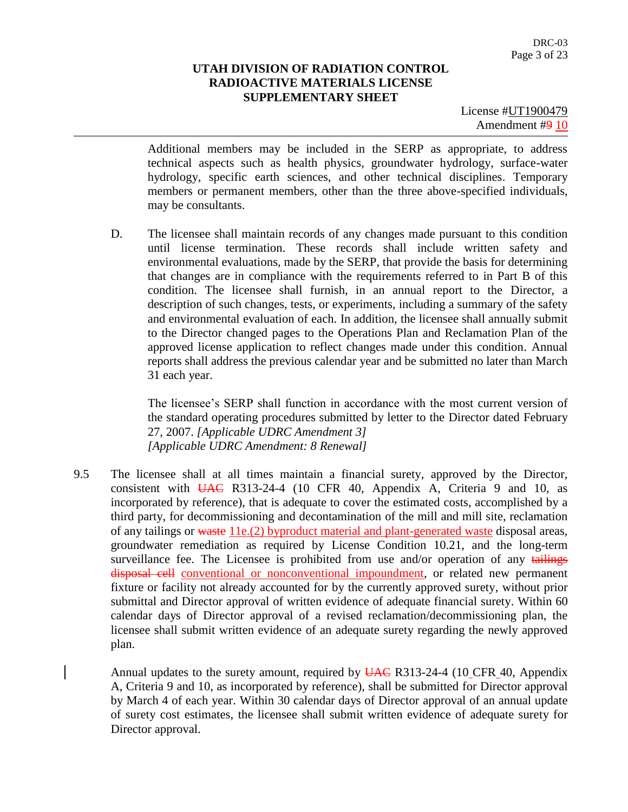License #UT1900479 Amendment #9 10

Additional members may be included in the SERP as appropriate, to address technical aspects such as health physics, groundwater hydrology, surface-water hydrology, specific earth sciences, and other technical disciplines. Temporary members or permanent members, other than the three above-specified individuals, may be consultants.

D. The licensee shall maintain records of any changes made pursuant to this condition until license termination. These records shall include written safety and environmental evaluations, made by the SERP, that provide the basis for determining that changes are in compliance with the requirements referred to in Part B of this condition. The licensee shall furnish, in an annual report to the Director, a description of such changes, tests, or experiments, including a summary of the safety and environmental evaluation of each. In addition, the licensee shall annually submit to the Director changed pages to the Operations Plan and Reclamation Plan of the approved license application to reflect changes made under this condition. Annual reports shall address the previous calendar year and be submitted no later than March 31 each year.

The licensee's SERP shall function in accordance with the most current version of the standard operating procedures submitted by letter to the Director dated February 27, 2007. *[Applicable UDRC Amendment 3] [Applicable UDRC Amendment: 8 Renewal]*

9.5 The licensee shall at all times maintain a financial surety, approved by the Director, consistent with  $\overline{UAC}$  R313-24-4 (10 CFR 40, Appendix A, Criteria 9 and 10, as incorporated by reference), that is adequate to cover the estimated costs, accomplished by a third party, for decommissioning and decontamination of the mill and mill site, reclamation of any tailings or waste 11e.(2) byproduct material and plant-generated waste disposal areas, groundwater remediation as required by License Condition 10.21, and the long-term surveillance fee. The Licensee is prohibited from use and/or operation of any tailings disposal cell conventional or nonconventional impoundment, or related new permanent fixture or facility not already accounted for by the currently approved surety, without prior submittal and Director approval of written evidence of adequate financial surety. Within 60 calendar days of Director approval of a revised reclamation/decommissioning plan, the licensee shall submit written evidence of an adequate surety regarding the newly approved plan.

Annual updates to the surety amount, required by UAC R313-24-4 (10 CFR 40, Appendix A, Criteria 9 and 10, as incorporated by reference), shall be submitted for Director approval by March 4 of each year. Within 30 calendar days of Director approval of an annual update of surety cost estimates, the licensee shall submit written evidence of adequate surety for Director approval.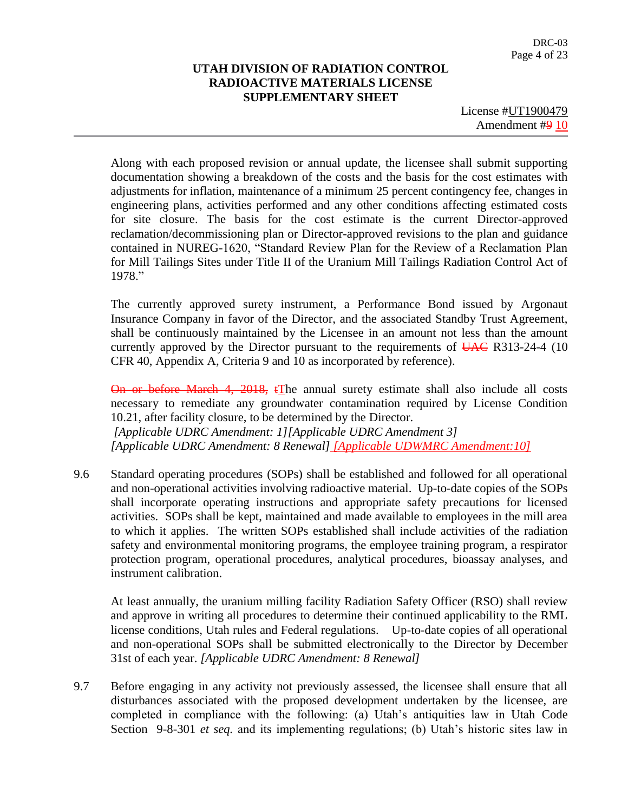License #UT1900479 Amendment #9 10

Along with each proposed revision or annual update, the licensee shall submit supporting documentation showing a breakdown of the costs and the basis for the cost estimates with adjustments for inflation, maintenance of a minimum 25 percent contingency fee, changes in engineering plans, activities performed and any other conditions affecting estimated costs for site closure. The basis for the cost estimate is the current Director-approved reclamation/decommissioning plan or Director-approved revisions to the plan and guidance contained in NUREG-1620, "Standard Review Plan for the Review of a Reclamation Plan for Mill Tailings Sites under Title II of the Uranium Mill Tailings Radiation Control Act of 1978."

The currently approved surety instrument, a Performance Bond issued by Argonaut Insurance Company in favor of the Director, and the associated Standby Trust Agreement, shall be continuously maintained by the Licensee in an amount not less than the amount currently approved by the Director pursuant to the requirements of  $\overline{UAC}$  R313-24-4 (10) CFR 40, Appendix A, Criteria 9 and 10 as incorporated by reference).

On or before March 4, 2018, tThe annual surety estimate shall also include all costs necessary to remediate any groundwater contamination required by License Condition 10.21, after facility closure, to be determined by the Director. *[Applicable UDRC Amendment: 1][Applicable UDRC Amendment 3] [Applicable UDRC Amendment: 8 Renewal] [Applicable UDWMRC Amendment:10]*

9.6 Standard operating procedures (SOPs) shall be established and followed for all operational and non-operational activities involving radioactive material. Up-to-date copies of the SOPs shall incorporate operating instructions and appropriate safety precautions for licensed activities. SOPs shall be kept, maintained and made available to employees in the mill area to which it applies. The written SOPs established shall include activities of the radiation safety and environmental monitoring programs, the employee training program, a respirator protection program, operational procedures, analytical procedures, bioassay analyses, and instrument calibration.

At least annually, the uranium milling facility Radiation Safety Officer (RSO) shall review and approve in writing all procedures to determine their continued applicability to the RML license conditions, Utah rules and Federal regulations. Up-to-date copies of all operational and non-operational SOPs shall be submitted electronically to the Director by December 31st of each year. *[Applicable UDRC Amendment: 8 Renewal]*

9.7 Before engaging in any activity not previously assessed, the licensee shall ensure that all disturbances associated with the proposed development undertaken by the licensee, are completed in compliance with the following: (a) Utah's antiquities law in Utah Code Section 9-8-301 *et seq.* and its implementing regulations; (b) Utah's historic sites law in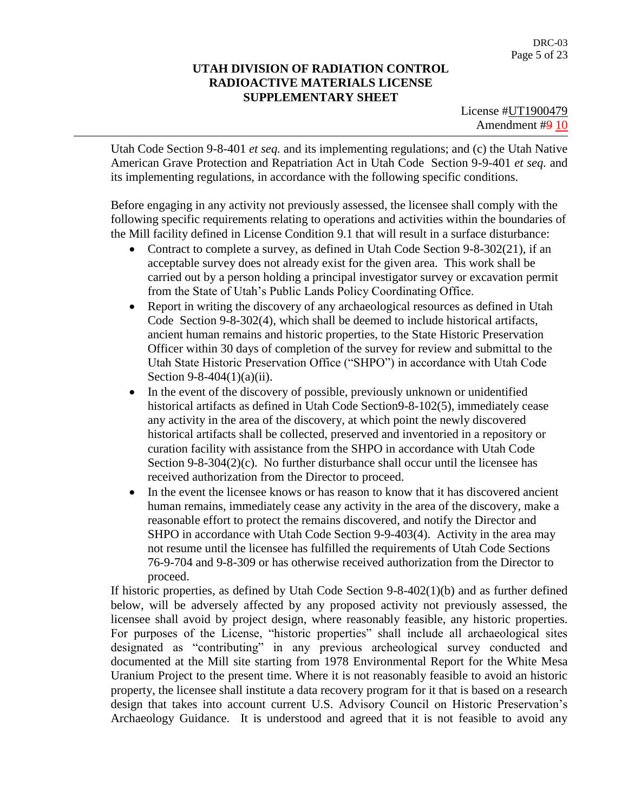License #UT1900479 Amendment #9 10

Utah Code Section 9-8-401 *et seq.* and its implementing regulations; and (c) the Utah Native American Grave Protection and Repatriation Act in Utah Code Section 9-9-401 *et seq.* and its implementing regulations, in accordance with the following specific conditions.

Before engaging in any activity not previously assessed, the licensee shall comply with the following specific requirements relating to operations and activities within the boundaries of the Mill facility defined in License Condition 9.1 that will result in a surface disturbance:

- Contract to complete a survey, as defined in Utah Code Section 9-8-302(21), if an acceptable survey does not already exist for the given area. This work shall be carried out by a person holding a principal investigator survey or excavation permit from the State of Utah's Public Lands Policy Coordinating Office.
- Report in writing the discovery of any archaeological resources as defined in Utah Code Section 9-8-302(4), which shall be deemed to include historical artifacts, ancient human remains and historic properties, to the State Historic Preservation Officer within 30 days of completion of the survey for review and submittal to the Utah State Historic Preservation Office ("SHPO") in accordance with Utah Code Section 9-8-404(1)(a)(ii).
- In the event of the discovery of possible, previously unknown or unidentified historical artifacts as defined in Utah Code Section9-8-102(5), immediately cease any activity in the area of the discovery, at which point the newly discovered historical artifacts shall be collected, preserved and inventoried in a repository or curation facility with assistance from the SHPO in accordance with Utah Code Section 9-8-304(2)(c). No further disturbance shall occur until the licensee has received authorization from the Director to proceed.
- In the event the licensee knows or has reason to know that it has discovered ancient human remains, immediately cease any activity in the area of the discovery, make a reasonable effort to protect the remains discovered, and notify the Director and SHPO in accordance with Utah Code Section 9-9-403(4). Activity in the area may not resume until the licensee has fulfilled the requirements of Utah Code Sections 76-9-704 and 9-8-309 or has otherwise received authorization from the Director to proceed.

If historic properties, as defined by Utah Code Section 9-8-402(1)(b) and as further defined below, will be adversely affected by any proposed activity not previously assessed, the licensee shall avoid by project design, where reasonably feasible, any historic properties. For purposes of the License, "historic properties" shall include all archaeological sites designated as "contributing" in any previous archeological survey conducted and documented at the Mill site starting from 1978 Environmental Report for the White Mesa Uranium Project to the present time. Where it is not reasonably feasible to avoid an historic property, the licensee shall institute a data recovery program for it that is based on a research design that takes into account current U.S. Advisory Council on Historic Preservation's Archaeology Guidance. It is understood and agreed that it is not feasible to avoid any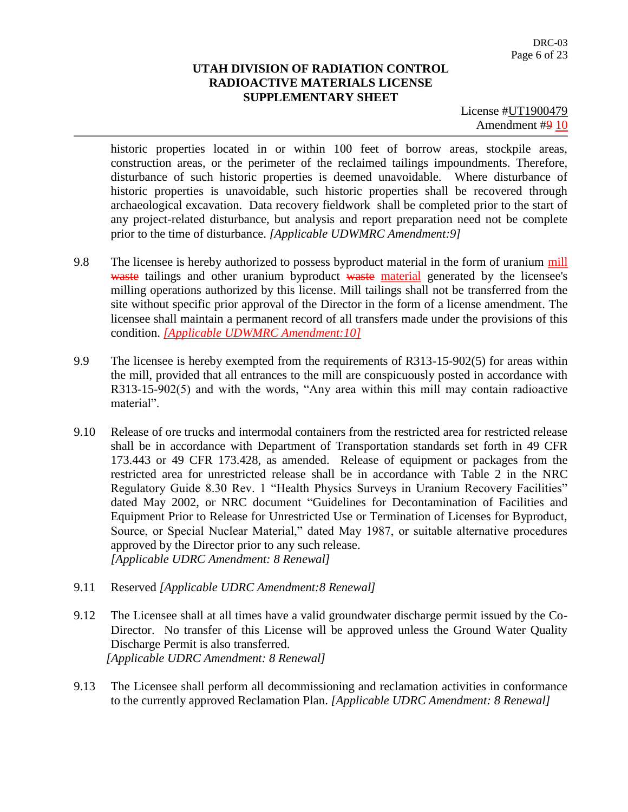License #UT1900479 Amendment #9 10

historic properties located in or within 100 feet of borrow areas, stockpile areas, construction areas, or the perimeter of the reclaimed tailings impoundments. Therefore, disturbance of such historic properties is deemed unavoidable. Where disturbance of historic properties is unavoidable, such historic properties shall be recovered through archaeological excavation. Data recovery fieldwork shall be completed prior to the start of any project-related disturbance, but analysis and report preparation need not be complete prior to the time of disturbance. *[Applicable UDWMRC Amendment:9]*

- 9.8 The licensee is hereby authorized to possess byproduct material in the form of uranium mill waste tailings and other uranium byproduct waste material generated by the licensee's milling operations authorized by this license. Mill tailings shall not be transferred from the site without specific prior approval of the Director in the form of a license amendment. The licensee shall maintain a permanent record of all transfers made under the provisions of this condition. *[Applicable UDWMRC Amendment:10]*
- 9.9 The licensee is hereby exempted from the requirements of R313-15-902(5) for areas within the mill, provided that all entrances to the mill are conspicuously posted in accordance with R313-15-902(5) and with the words, "Any area within this mill may contain radioactive material".
- 9.10 Release of ore trucks and intermodal containers from the restricted area for restricted release shall be in accordance with Department of Transportation standards set forth in 49 CFR 173.443 or 49 CFR 173.428, as amended. Release of equipment or packages from the restricted area for unrestricted release shall be in accordance with Table 2 in the NRC Regulatory Guide 8.30 Rev. 1 "Health Physics Surveys in Uranium Recovery Facilities" dated May 2002, or NRC document "Guidelines for Decontamination of Facilities and Equipment Prior to Release for Unrestricted Use or Termination of Licenses for Byproduct, Source, or Special Nuclear Material," dated May 1987, or suitable alternative procedures approved by the Director prior to any such release. *[Applicable UDRC Amendment: 8 Renewal]*
- 9.11 Reserved *[Applicable UDRC Amendment:8 Renewal]*
- 9.12 The Licensee shall at all times have a valid groundwater discharge permit issued by the Co-Director. No transfer of this License will be approved unless the Ground Water Quality Discharge Permit is also transferred. *[Applicable UDRC Amendment: 8 Renewal]*
- 9.13 The Licensee shall perform all decommissioning and reclamation activities in conformance to the currently approved Reclamation Plan. *[Applicable UDRC Amendment: 8 Renewal]*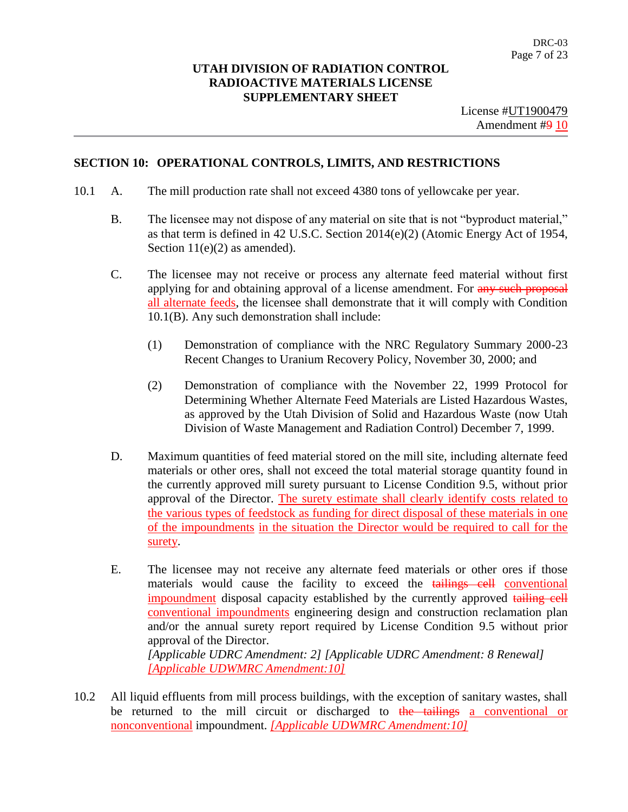#### **SECTION 10: OPERATIONAL CONTROLS, LIMITS, AND RESTRICTIONS**

- 10.1 A. The mill production rate shall not exceed 4380 tons of yellowcake per year.
	- B. The licensee may not dispose of any material on site that is not "byproduct material," as that term is defined in 42 U.S.C. Section 2014(e)(2) (Atomic Energy Act of 1954, Section  $11(e)(2)$  as amended).
	- C. The licensee may not receive or process any alternate feed material without first applying for and obtaining approval of a license amendment. For any such proposal all alternate feeds, the licensee shall demonstrate that it will comply with Condition 10.1(B). Any such demonstration shall include:
		- (1) Demonstration of compliance with the NRC Regulatory Summary 2000-23 Recent Changes to Uranium Recovery Policy, November 30, 2000; and
		- (2) Demonstration of compliance with the November 22, 1999 Protocol for Determining Whether Alternate Feed Materials are Listed Hazardous Wastes, as approved by the Utah Division of Solid and Hazardous Waste (now Utah Division of Waste Management and Radiation Control) December 7, 1999.
	- D. Maximum quantities of feed material stored on the mill site, including alternate feed materials or other ores, shall not exceed the total material storage quantity found in the currently approved mill surety pursuant to License Condition 9.5, without prior approval of the Director. The surety estimate shall clearly identify costs related to the various types of feedstock as funding for direct disposal of these materials in one of the impoundments in the situation the Director would be required to call for the surety.
	- E. The licensee may not receive any alternate feed materials or other ores if those materials would cause the facility to exceed the tailings cell conventional impoundment disposal capacity established by the currently approved tailing cell conventional impoundments engineering design and construction reclamation plan and/or the annual surety report required by License Condition 9.5 without prior approval of the Director. *[Applicable UDRC Amendment: 2] [Applicable UDRC Amendment: 8 Renewal] [Applicable UDWMRC Amendment:10]*
- 10.2 All liquid effluents from mill process buildings, with the exception of sanitary wastes, shall be returned to the mill circuit or discharged to the tailings a conventional or nonconventional impoundment. *[Applicable UDWMRC Amendment:10]*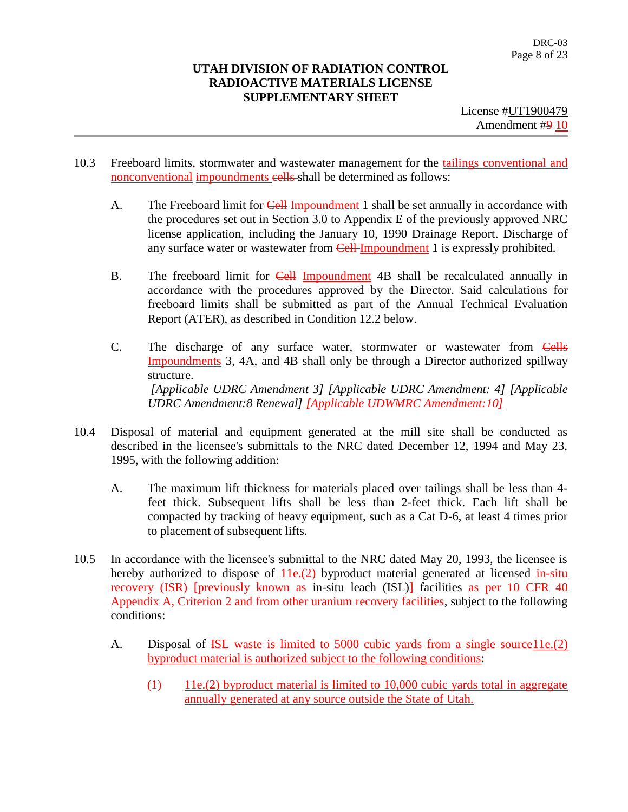- 10.3 Freeboard limits, stormwater and wastewater management for the tailings conventional and nonconventional impoundments cells shall be determined as follows:
	- A. The Freeboard limit for Cell Impoundment 1 shall be set annually in accordance with the procedures set out in Section 3.0 to Appendix E of the previously approved NRC license application, including the January 10, 1990 Drainage Report. Discharge of any surface water or wastewater from **Cell-Impoundment** 1 is expressly prohibited.
	- B. The freeboard limit for Cell Impoundment 4B shall be recalculated annually in accordance with the procedures approved by the Director. Said calculations for freeboard limits shall be submitted as part of the Annual Technical Evaluation Report (ATER), as described in Condition 12.2 below.
	- C. The discharge of any surface water, stormwater or wastewater from Cells Impoundments 3, 4A, and 4B shall only be through a Director authorized spillway structure. *[Applicable UDRC Amendment 3] [Applicable UDRC Amendment: 4] [Applicable UDRC Amendment:8 Renewal] [Applicable UDWMRC Amendment:10]*
- 10.4 Disposal of material and equipment generated at the mill site shall be conducted as described in the licensee's submittals to the NRC dated December 12, 1994 and May 23, 1995, with the following addition:
	- A. The maximum lift thickness for materials placed over tailings shall be less than 4 feet thick. Subsequent lifts shall be less than 2-feet thick. Each lift shall be compacted by tracking of heavy equipment, such as a Cat D-6, at least 4 times prior to placement of subsequent lifts.
- 10.5 In accordance with the licensee's submittal to the NRC dated May 20, 1993, the licensee is hereby authorized to dispose of 11e.(2) byproduct material generated at licensed in-situ recovery (ISR) [previously known as in-situ leach (ISL)] facilities as per 10 CFR 40 Appendix A, Criterion 2 and from other uranium recovery facilities, subject to the following conditions:
	- A. Disposal of <del>ISL waste is limited to 5000 cubic vards from a single source</del> 11e. (2) byproduct material is authorized subject to the following conditions:
		- (1) 11e.(2) byproduct material is limited to 10,000 cubic yards total in aggregate annually generated at any source outside the State of Utah.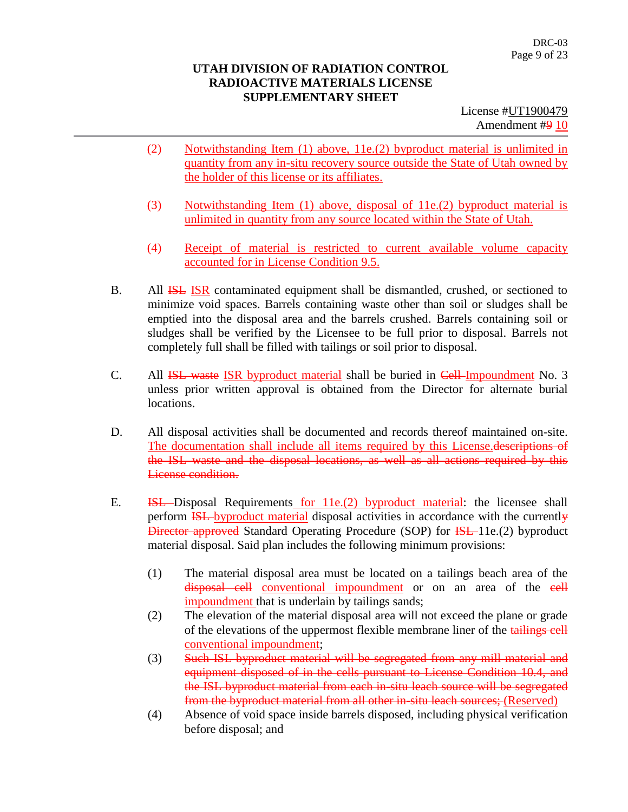- (2) Notwithstanding Item (1) above, 11e.(2) byproduct material is unlimited in quantity from any in-situ recovery source outside the State of Utah owned by the holder of this license or its affiliates.
- (3) Notwithstanding Item (1) above, disposal of 11e.(2) byproduct material is unlimited in quantity from any source located within the State of Utah.
- (4) Receipt of material is restricted to current available volume capacity accounted for in License Condition 9.5.
- B. All **ISL ISR** contaminated equipment shall be dismantled, crushed, or sectioned to minimize void spaces. Barrels containing waste other than soil or sludges shall be emptied into the disposal area and the barrels crushed. Barrels containing soil or sludges shall be verified by the Licensee to be full prior to disposal. Barrels not completely full shall be filled with tailings or soil prior to disposal.
- C. All **ISL waste ISR** byproduct material shall be buried in Cell-Impoundment No. 3 unless prior written approval is obtained from the Director for alternate burial locations.
- D. All disposal activities shall be documented and records thereof maintained on-site. The documentation shall include all items required by this License.descriptions of the ISL waste and the disposal locations, as well as all actions required by this License condition.
- E. **ISL** Disposal Requirements for 11e.(2) byproduct material: the licensee shall perform ISL byproduct material disposal activities in accordance with the currently Director approved Standard Operating Procedure (SOP) for **ISL**-11e.(2) byproduct material disposal. Said plan includes the following minimum provisions:
	- (1) The material disposal area must be located on a tailings beach area of the disposal cell conventional impoundment or on an area of the cell impoundment that is underlain by tailings sands;
	- (2) The elevation of the material disposal area will not exceed the plane or grade of the elevations of the uppermost flexible membrane liner of the tailings cell conventional impoundment;
	- (3) Such ISL byproduct material will be segregated from any mill material and equipment disposed of in the cells pursuant to License Condition 10.4, and the ISL byproduct material from each in-situ leach source will be segregated from the byproduct material from all other in-situ leach sources; (Reserved)
	- (4) Absence of void space inside barrels disposed, including physical verification before disposal; and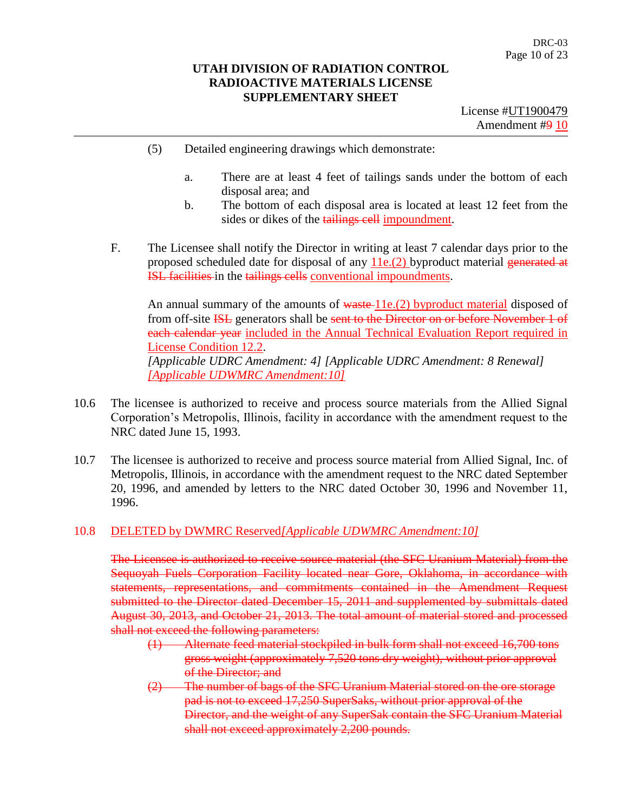- (5) Detailed engineering drawings which demonstrate:
	- a. There are at least 4 feet of tailings sands under the bottom of each disposal area; and
	- b. The bottom of each disposal area is located at least 12 feet from the sides or dikes of the tailings cell impoundment.
- F. The Licensee shall notify the Director in writing at least 7 calendar days prior to the proposed scheduled date for disposal of any  $11e(2)$  byproduct material generated at ISL facilities in the tailings cells conventional impoundments.

An annual summary of the amounts of waste-11e.(2) byproduct material disposed of from off-site **ISL** generators shall be sent to the Director on or before November 1 of each calendar year included in the Annual Technical Evaluation Report required in License Condition 12.2. *[Applicable UDRC Amendment: 4] [Applicable UDRC Amendment: 8 Renewal] [Applicable UDWMRC Amendment:10]*

- 10.6 The licensee is authorized to receive and process source materials from the Allied Signal Corporation's Metropolis, Illinois, facility in accordance with the amendment request to the NRC dated June 15, 1993.
- 10.7 The licensee is authorized to receive and process source material from Allied Signal, Inc. of Metropolis, Illinois, in accordance with the amendment request to the NRC dated September 20, 1996, and amended by letters to the NRC dated October 30, 1996 and November 11, 1996.

#### 10.8 DELETED by DWMRC Reserved*[Applicable UDWMRC Amendment:10]*

The Licensee is authorized to receive source material (the SFC Uranium Material) from the Sequoyah Fuels Corporation Facility located near Gore, Oklahoma, in accordance with statements, representations, and commitments contained in the Amendment Request submitted to the Director dated December 15, 2011 and supplemented by submittals dated August 30, 2013, and October 21, 2013. The total amount of material stored and processed shall not exceed the following parameters:

- (1) Alternate feed material stockpiled in bulk form shall not exceed 16,700 tons gross weight (approximately 7,520 tons dry weight), without prior approval of the Director; and
- (2) The number of bags of the SFC Uranium Material stored on the ore storage pad is not to exceed 17,250 SuperSaks, without prior approval of the Director, and the weight of any SuperSak contain the SFC Uranium Material shall not exceed approximately 2,200 pounds.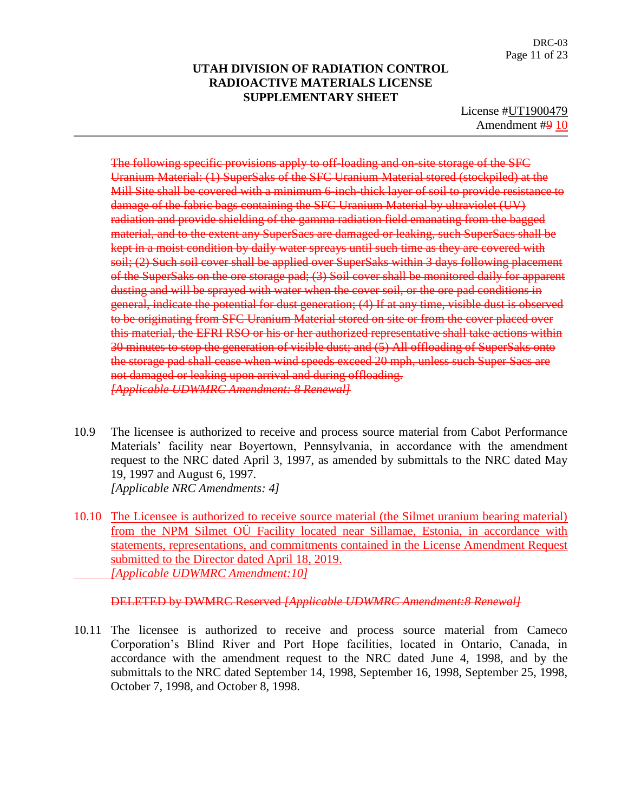License #UT1900479 Amendment #9 10

The following specific provisions apply to off-loading and on-site storage of the SFC Uranium Material: (1) SuperSaks of the SFC Uranium Material stored (stockpiled) at the Mill Site shall be covered with a minimum 6-inch-thick layer of soil to provide resistance to damage of the fabric bags containing the SFC Uranium Material by ultraviolet (UV) radiation and provide shielding of the gamma radiation field emanating from the bagged material, and to the extent any SuperSacs are damaged or leaking, such SuperSacs shall be kept in a moist condition by daily water spreays until such time as they are covered with soil; (2) Such soil cover shall be applied over SuperSaks within 3 days following placement of the SuperSaks on the ore storage pad; (3) Soil cover shall be monitored daily for apparent dusting and will be sprayed with water when the cover soil, or the ore pad conditions in general, indicate the potential for dust generation; (4) If at any time, visible dust is observed to be originating from SFC Uranium Material stored on site or from the cover placed over this material, the EFRI RSO or his or her authorized representative shall take actions within 30 minutes to stop the generation of visible dust; and (5) All offloading of SuperSaks onto the storage pad shall cease when wind speeds exceed 20 mph, unless such Super Sacs are not damaged or leaking upon arrival and during offloading. *[Applicable UDWMRC Amendment: 8 Renewal]*

- 10.9 The licensee is authorized to receive and process source material from Cabot Performance Materials' facility near Boyertown, Pennsylvania, in accordance with the amendment request to the NRC dated April 3, 1997, as amended by submittals to the NRC dated May 19, 1997 and August 6, 1997. *[Applicable NRC Amendments: 4]*
- 10.10 The Licensee is authorized to receive source material (the Silmet uranium bearing material) from the NPM Silmet OÜ Facility located near Sillamae, Estonia, in accordance with statements, representations, and commitments contained in the License Amendment Request submitted to the Director dated April 18, 2019. *[Applicable UDWMRC Amendment:10]*

#### DELETED by DWMRC Reserved *[Applicable UDWMRC Amendment:8 Renewal]*

10.11 The licensee is authorized to receive and process source material from Cameco Corporation's Blind River and Port Hope facilities, located in Ontario, Canada, in accordance with the amendment request to the NRC dated June 4, 1998, and by the submittals to the NRC dated September 14, 1998, September 16, 1998, September 25, 1998, October 7, 1998, and October 8, 1998.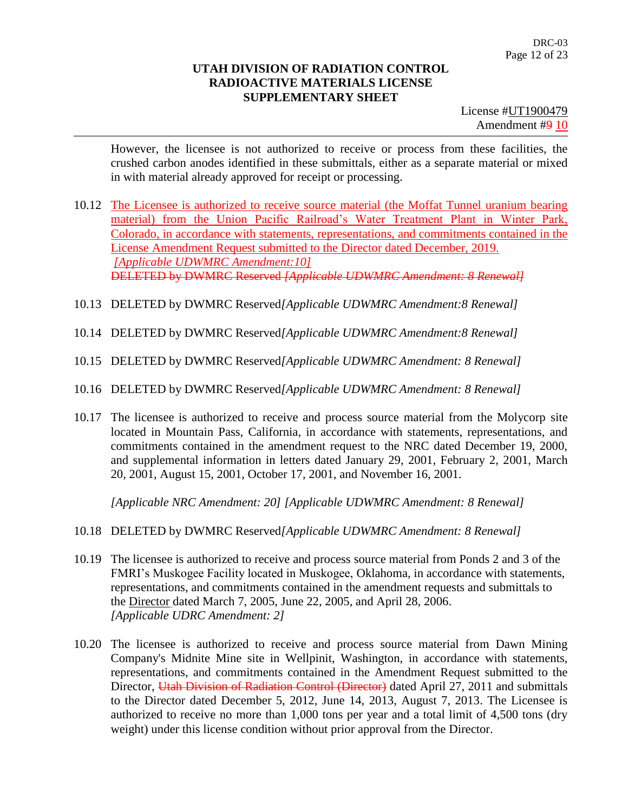License #UT1900479 Amendment #9 10

However, the licensee is not authorized to receive or process from these facilities, the crushed carbon anodes identified in these submittals, either as a separate material or mixed in with material already approved for receipt or processing.

- 10.12 The Licensee is authorized to receive source material (the Moffat Tunnel uranium bearing material) from the Union Pacific Railroad's Water Treatment Plant in Winter Park, Colorado, in accordance with statements, representations, and commitments contained in the License Amendment Request submitted to the Director dated December, 2019. *[Applicable UDWMRC Amendment:10]* DELETED by DWMRC Reserved *[Applicable UDWMRC Amendment: 8 Renewal]*
- 10.13 DELETED by DWMRC Reserved*[Applicable UDWMRC Amendment:8 Renewal]*
- 10.14 DELETED by DWMRC Reserved*[Applicable UDWMRC Amendment:8 Renewal]*
- 10.15 DELETED by DWMRC Reserved*[Applicable UDWMRC Amendment: 8 Renewal]*
- 10.16 DELETED by DWMRC Reserved*[Applicable UDWMRC Amendment: 8 Renewal]*
- 10.17 The licensee is authorized to receive and process source material from the Molycorp site located in Mountain Pass, California, in accordance with statements, representations, and commitments contained in the amendment request to the NRC dated December 19, 2000, and supplemental information in letters dated January 29, 2001, February 2, 2001, March 20, 2001, August 15, 2001, October 17, 2001, and November 16, 2001.

*[Applicable NRC Amendment: 20] [Applicable UDWMRC Amendment: 8 Renewal]*

- 10.18 DELETED by DWMRC Reserved*[Applicable UDWMRC Amendment: 8 Renewal]*
- 10.19 The licensee is authorized to receive and process source material from Ponds 2 and 3 of the FMRI's Muskogee Facility located in Muskogee, Oklahoma, in accordance with statements, representations, and commitments contained in the amendment requests and submittals to the Director dated March 7, 2005, June 22, 2005, and April 28, 2006. *[Applicable UDRC Amendment: 2]*
- 10.20 The licensee is authorized to receive and process source material from Dawn Mining Company's Midnite Mine site in Wellpinit, Washington, in accordance with statements, representations, and commitments contained in the Amendment Request submitted to the Director, Utah Division of Radiation Control (Director) dated April 27, 2011 and submittals to the Director dated December 5, 2012, June 14, 2013, August 7, 2013. The Licensee is authorized to receive no more than 1,000 tons per year and a total limit of 4,500 tons (dry weight) under this license condition without prior approval from the Director.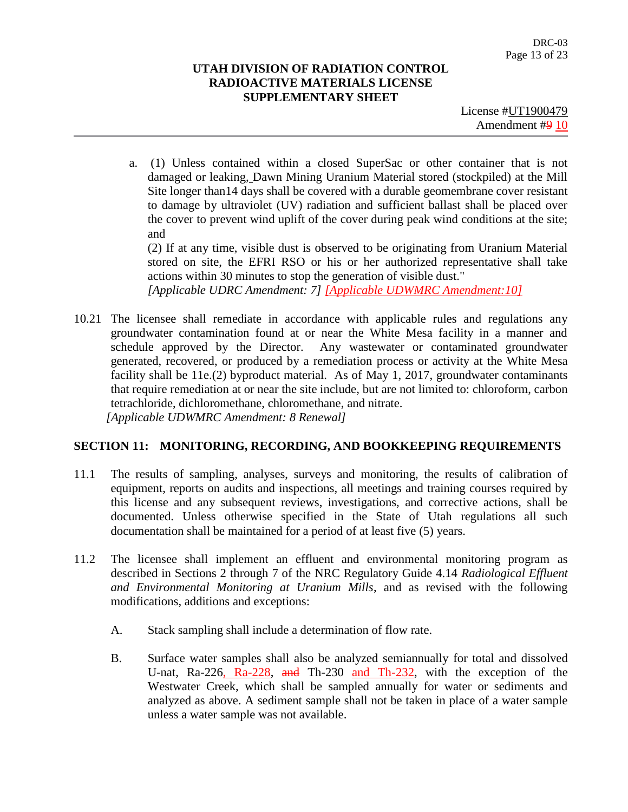License #UT1900479 Amendment #9 10

a. (1) Unless contained within a closed SuperSac or other container that is not damaged or leaking, Dawn Mining Uranium Material stored (stockpiled) at the Mill Site longer than14 days shall be covered with a durable geomembrane cover resistant to damage by ultraviolet (UV) radiation and sufficient ballast shall be placed over the cover to prevent wind uplift of the cover during peak wind conditions at the site; and

(2) If at any time, visible dust is observed to be originating from Uranium Material stored on site, the EFRI RSO or his or her authorized representative shall take actions within 30 minutes to stop the generation of visible dust."

*[Applicable UDRC Amendment: 7] [Applicable UDWMRC Amendment:10]*

10.21 The licensee shall remediate in accordance with applicable rules and regulations any groundwater contamination found at or near the White Mesa facility in a manner and schedule approved by the Director. Any wastewater or contaminated groundwater generated, recovered, or produced by a remediation process or activity at the White Mesa facility shall be 11e.(2) byproduct material. As of May 1, 2017, groundwater contaminants that require remediation at or near the site include, but are not limited to: chloroform, carbon tetrachloride, dichloromethane, chloromethane, and nitrate. *[Applicable UDWMRC Amendment: 8 Renewal]*

## **SECTION 11: MONITORING, RECORDING, AND BOOKKEEPING REQUIREMENTS**

- 11.1 The results of sampling, analyses, surveys and monitoring, the results of calibration of equipment, reports on audits and inspections, all meetings and training courses required by this license and any subsequent reviews, investigations, and corrective actions, shall be documented. Unless otherwise specified in the State of Utah regulations all such documentation shall be maintained for a period of at least five (5) years.
- 11.2 The licensee shall implement an effluent and environmental monitoring program as described in Sections 2 through 7 of the NRC Regulatory Guide 4.14 *Radiological Effluent and Environmental Monitoring at Uranium Mills*, and as revised with the following modifications, additions and exceptions:
	- A. Stack sampling shall include a determination of flow rate.
	- B. Surface water samples shall also be analyzed semiannually for total and dissolved U-nat, Ra-226, Ra-228, and Th-230 and Th-232, with the exception of the Westwater Creek, which shall be sampled annually for water or sediments and analyzed as above. A sediment sample shall not be taken in place of a water sample unless a water sample was not available.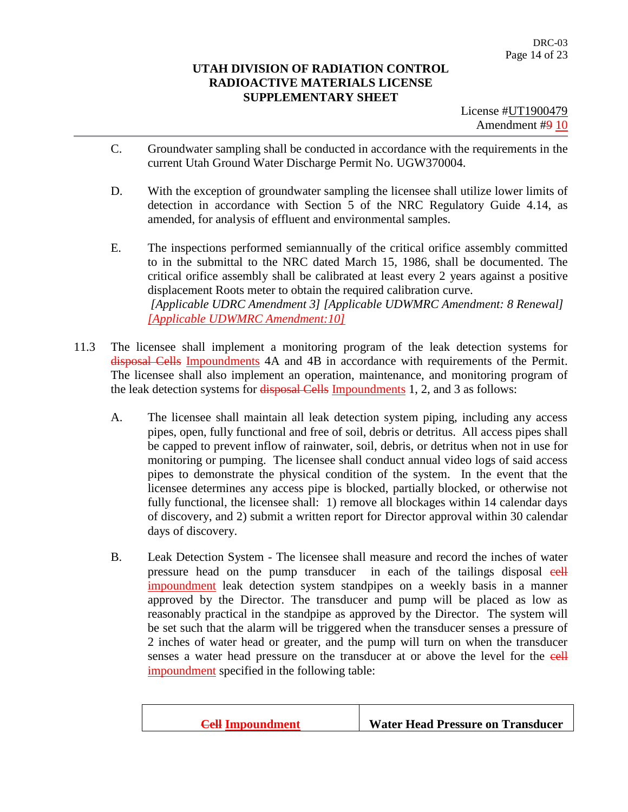- C. Groundwater sampling shall be conducted in accordance with the requirements in the current Utah Ground Water Discharge Permit No. UGW370004.
- D. With the exception of groundwater sampling the licensee shall utilize lower limits of detection in accordance with Section 5 of the NRC Regulatory Guide 4.14, as amended, for analysis of effluent and environmental samples.
- E. The inspections performed semiannually of the critical orifice assembly committed to in the submittal to the NRC dated March 15, 1986, shall be documented. The critical orifice assembly shall be calibrated at least every 2 years against a positive displacement Roots meter to obtain the required calibration curve. *[Applicable UDRC Amendment 3] [Applicable UDWMRC Amendment: 8 Renewal] [Applicable UDWMRC Amendment:10]*
- 11.3 The licensee shall implement a monitoring program of the leak detection systems for disposal Cells Impoundments 4A and 4B in accordance with requirements of the Permit. The licensee shall also implement an operation, maintenance, and monitoring program of the leak detection systems for **disposal Cells** Impoundments 1, 2, and 3 as follows:
	- A. The licensee shall maintain all leak detection system piping, including any access pipes, open, fully functional and free of soil, debris or detritus. All access pipes shall be capped to prevent inflow of rainwater, soil, debris, or detritus when not in use for monitoring or pumping. The licensee shall conduct annual video logs of said access pipes to demonstrate the physical condition of the system. In the event that the licensee determines any access pipe is blocked, partially blocked, or otherwise not fully functional, the licensee shall: 1) remove all blockages within 14 calendar days of discovery, and 2) submit a written report for Director approval within 30 calendar days of discovery.
	- B. Leak Detection System The licensee shall measure and record the inches of water pressure head on the pump transducer in each of the tailings disposal eell impoundment leak detection system standpipes on a weekly basis in a manner approved by the Director. The transducer and pump will be placed as low as reasonably practical in the standpipe as approved by the Director. The system will be set such that the alarm will be triggered when the transducer senses a pressure of 2 inches of water head or greater, and the pump will turn on when the transducer senses a water head pressure on the transducer at or above the level for the eell impoundment specified in the following table:

|  | <b>Cell Impoundment</b> | <b>Water Head Pressure on Transducer</b> |
|--|-------------------------|------------------------------------------|
|--|-------------------------|------------------------------------------|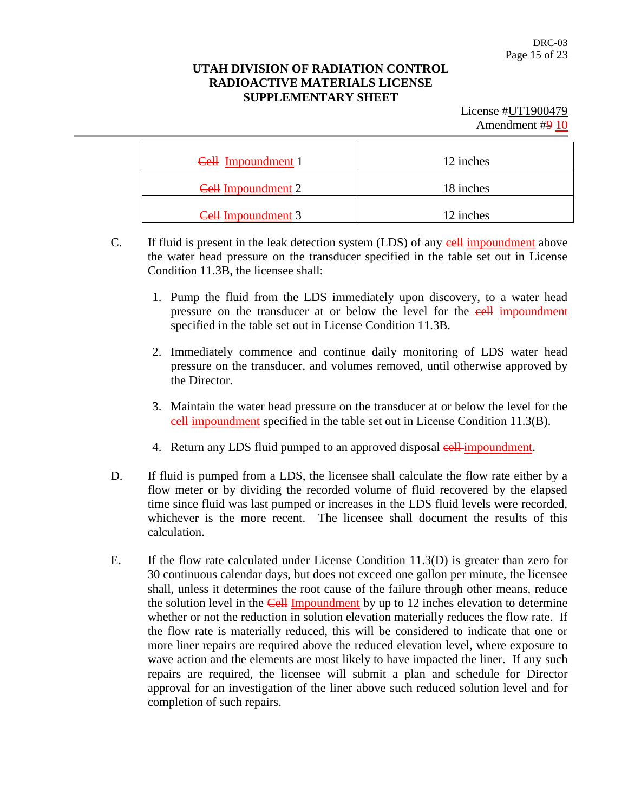| Cell Impoundment 1        | 12 inches |
|---------------------------|-----------|
| <b>Cell Impoundment 2</b> | 18 inches |
| <b>Cell Impoundment 3</b> | 12 inches |

- C. If fluid is present in the leak detection system (LDS) of any **cell** impoundment above the water head pressure on the transducer specified in the table set out in License Condition 11.3B, the licensee shall:
	- 1. Pump the fluid from the LDS immediately upon discovery, to a water head pressure on the transducer at or below the level for the eell impoundment specified in the table set out in License Condition 11.3B.
	- 2. Immediately commence and continue daily monitoring of LDS water head pressure on the transducer, and volumes removed, until otherwise approved by the Director.
	- 3. Maintain the water head pressure on the transducer at or below the level for the cell impoundment specified in the table set out in License Condition 11.3(B).
	- 4. Return any LDS fluid pumped to an approved disposal **cell**-impoundment.
- D. If fluid is pumped from a LDS, the licensee shall calculate the flow rate either by a flow meter or by dividing the recorded volume of fluid recovered by the elapsed time since fluid was last pumped or increases in the LDS fluid levels were recorded, whichever is the more recent. The licensee shall document the results of this calculation.
- E. If the flow rate calculated under License Condition 11.3(D) is greater than zero for 30 continuous calendar days, but does not exceed one gallon per minute, the licensee shall, unless it determines the root cause of the failure through other means, reduce the solution level in the Cell Impoundment by up to 12 inches elevation to determine whether or not the reduction in solution elevation materially reduces the flow rate. If the flow rate is materially reduced, this will be considered to indicate that one or more liner repairs are required above the reduced elevation level, where exposure to wave action and the elements are most likely to have impacted the liner. If any such repairs are required, the licensee will submit a plan and schedule for Director approval for an investigation of the liner above such reduced solution level and for completion of such repairs.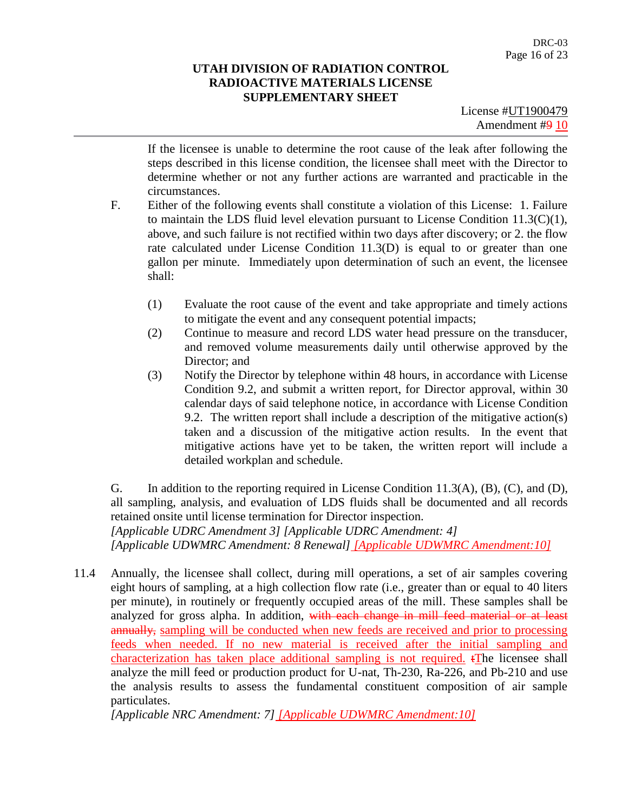License #UT1900479 Amendment #9 10

If the licensee is unable to determine the root cause of the leak after following the steps described in this license condition, the licensee shall meet with the Director to determine whether or not any further actions are warranted and practicable in the circumstances.

- F. Either of the following events shall constitute a violation of this License: 1. Failure to maintain the LDS fluid level elevation pursuant to License Condition 11.3(C)(1), above, and such failure is not rectified within two days after discovery; or 2. the flow rate calculated under License Condition 11.3(D) is equal to or greater than one gallon per minute. Immediately upon determination of such an event, the licensee shall:
	- (1) Evaluate the root cause of the event and take appropriate and timely actions to mitigate the event and any consequent potential impacts;
	- (2) Continue to measure and record LDS water head pressure on the transducer, and removed volume measurements daily until otherwise approved by the Director; and
	- (3) Notify the Director by telephone within 48 hours, in accordance with License Condition 9.2, and submit a written report, for Director approval, within 30 calendar days of said telephone notice, in accordance with License Condition 9.2. The written report shall include a description of the mitigative action(s) taken and a discussion of the mitigative action results. In the event that mitigative actions have yet to be taken, the written report will include a detailed workplan and schedule.

G. In addition to the reporting required in License Condition 11.3(A), (B), (C), and (D), all sampling, analysis, and evaluation of LDS fluids shall be documented and all records retained onsite until license termination for Director inspection.

*[Applicable UDRC Amendment 3] [Applicable UDRC Amendment: 4] [Applicable UDWMRC Amendment: 8 Renewal] [Applicable UDWMRC Amendment:10]*

11.4 Annually, the licensee shall collect, during mill operations, a set of air samples covering eight hours of sampling, at a high collection flow rate (i.e., greater than or equal to 40 liters per minute), in routinely or frequently occupied areas of the mill. These samples shall be analyzed for gross alpha. In addition, with each change in mill feed material or at least annually, sampling will be conducted when new feeds are received and prior to processing feeds when needed. If no new material is received after the initial sampling and characterization has taken place additional sampling is not required. tThe licensee shall analyze the mill feed or production product for U-nat, Th-230, Ra-226, and Pb-210 and use the analysis results to assess the fundamental constituent composition of air sample particulates.

*[Applicable NRC Amendment: 7] [Applicable UDWMRC Amendment:10]*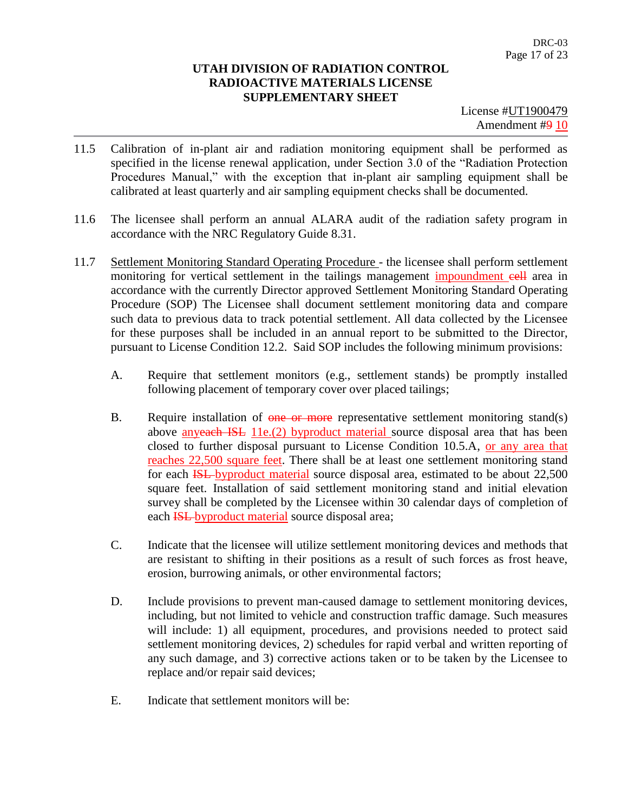- 11.5 Calibration of in-plant air and radiation monitoring equipment shall be performed as specified in the license renewal application, under Section 3.0 of the "Radiation Protection Procedures Manual," with the exception that in-plant air sampling equipment shall be calibrated at least quarterly and air sampling equipment checks shall be documented.
- 11.6 The licensee shall perform an annual ALARA audit of the radiation safety program in accordance with the NRC Regulatory Guide 8.31.
- 11.7 Settlement Monitoring Standard Operating Procedure the licensee shall perform settlement monitoring for vertical settlement in the tailings management impoundment eell area in accordance with the currently Director approved Settlement Monitoring Standard Operating Procedure (SOP) The Licensee shall document settlement monitoring data and compare such data to previous data to track potential settlement. All data collected by the Licensee for these purposes shall be included in an annual report to be submitted to the Director, pursuant to License Condition 12.2. Said SOP includes the following minimum provisions:
	- A. Require that settlement monitors (e.g., settlement stands) be promptly installed following placement of temporary cover over placed tailings;
	- B. Require installation of  $\theta$  one or more representative settlement monitoring stand(s) above anyeach ISL 11e.(2) byproduct material source disposal area that has been closed to further disposal pursuant to License Condition 10.5.A, or any area that reaches 22,500 square feet. There shall be at least one settlement monitoring stand for each ISL byproduct material source disposal area, estimated to be about 22,500 square feet. Installation of said settlement monitoring stand and initial elevation survey shall be completed by the Licensee within 30 calendar days of completion of each **ISL**-byproduct material source disposal area;
	- C. Indicate that the licensee will utilize settlement monitoring devices and methods that are resistant to shifting in their positions as a result of such forces as frost heave, erosion, burrowing animals, or other environmental factors;
	- D. Include provisions to prevent man-caused damage to settlement monitoring devices, including, but not limited to vehicle and construction traffic damage. Such measures will include: 1) all equipment, procedures, and provisions needed to protect said settlement monitoring devices, 2) schedules for rapid verbal and written reporting of any such damage, and 3) corrective actions taken or to be taken by the Licensee to replace and/or repair said devices;
	- E. Indicate that settlement monitors will be: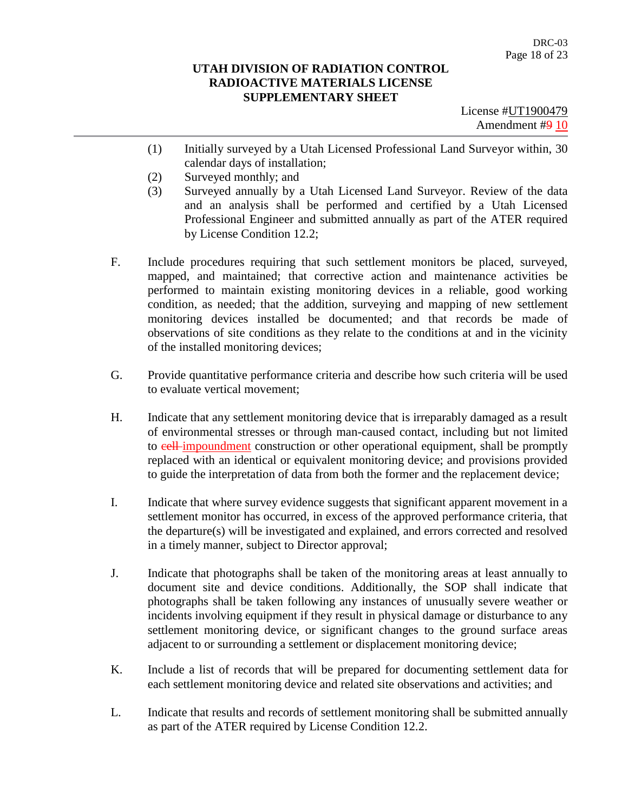- (1) Initially surveyed by a Utah Licensed Professional Land Surveyor within, 30 calendar days of installation;
- (2) Surveyed monthly; and
- (3) Surveyed annually by a Utah Licensed Land Surveyor. Review of the data and an analysis shall be performed and certified by a Utah Licensed Professional Engineer and submitted annually as part of the ATER required by License Condition 12.2;
- F. Include procedures requiring that such settlement monitors be placed, surveyed, mapped, and maintained; that corrective action and maintenance activities be performed to maintain existing monitoring devices in a reliable, good working condition, as needed; that the addition, surveying and mapping of new settlement monitoring devices installed be documented; and that records be made of observations of site conditions as they relate to the conditions at and in the vicinity of the installed monitoring devices;
- G. Provide quantitative performance criteria and describe how such criteria will be used to evaluate vertical movement;
- H. Indicate that any settlement monitoring device that is irreparably damaged as a result of environmental stresses or through man-caused contact, including but not limited to cell-impoundment construction or other operational equipment, shall be promptly replaced with an identical or equivalent monitoring device; and provisions provided to guide the interpretation of data from both the former and the replacement device;
- I. Indicate that where survey evidence suggests that significant apparent movement in a settlement monitor has occurred, in excess of the approved performance criteria, that the departure(s) will be investigated and explained, and errors corrected and resolved in a timely manner, subject to Director approval;
- J. Indicate that photographs shall be taken of the monitoring areas at least annually to document site and device conditions. Additionally, the SOP shall indicate that photographs shall be taken following any instances of unusually severe weather or incidents involving equipment if they result in physical damage or disturbance to any settlement monitoring device, or significant changes to the ground surface areas adjacent to or surrounding a settlement or displacement monitoring device;
- K. Include a list of records that will be prepared for documenting settlement data for each settlement monitoring device and related site observations and activities; and
- L. Indicate that results and records of settlement monitoring shall be submitted annually as part of the ATER required by License Condition 12.2.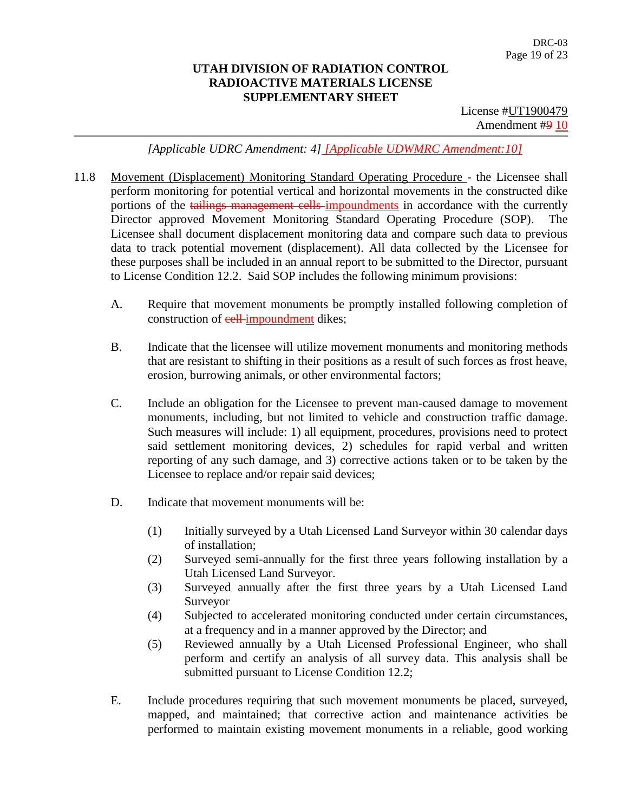License #UT1900479 Amendment #9 10

*[Applicable UDRC Amendment: 4] [Applicable UDWMRC Amendment:10]*

- 11.8 Movement (Displacement) Monitoring Standard Operating Procedure the Licensee shall perform monitoring for potential vertical and horizontal movements in the constructed dike portions of the tailings management cells impoundments in accordance with the currently Director approved Movement Monitoring Standard Operating Procedure (SOP). The Licensee shall document displacement monitoring data and compare such data to previous data to track potential movement (displacement). All data collected by the Licensee for these purposes shall be included in an annual report to be submitted to the Director, pursuant to License Condition 12.2. Said SOP includes the following minimum provisions:
	- A. Require that movement monuments be promptly installed following completion of construction of **cell-impoundment** dikes;
	- B. Indicate that the licensee will utilize movement monuments and monitoring methods that are resistant to shifting in their positions as a result of such forces as frost heave, erosion, burrowing animals, or other environmental factors;
	- C. Include an obligation for the Licensee to prevent man-caused damage to movement monuments, including, but not limited to vehicle and construction traffic damage. Such measures will include: 1) all equipment, procedures, provisions need to protect said settlement monitoring devices, 2) schedules for rapid verbal and written reporting of any such damage, and 3) corrective actions taken or to be taken by the Licensee to replace and/or repair said devices;
	- D. Indicate that movement monuments will be:
		- (1) Initially surveyed by a Utah Licensed Land Surveyor within 30 calendar days of installation;
		- (2) Surveyed semi-annually for the first three years following installation by a Utah Licensed Land Surveyor.
		- (3) Surveyed annually after the first three years by a Utah Licensed Land Surveyor
		- (4) Subjected to accelerated monitoring conducted under certain circumstances, at a frequency and in a manner approved by the Director; and
		- (5) Reviewed annually by a Utah Licensed Professional Engineer, who shall perform and certify an analysis of all survey data. This analysis shall be submitted pursuant to License Condition 12.2;
	- E. Include procedures requiring that such movement monuments be placed, surveyed, mapped, and maintained; that corrective action and maintenance activities be performed to maintain existing movement monuments in a reliable, good working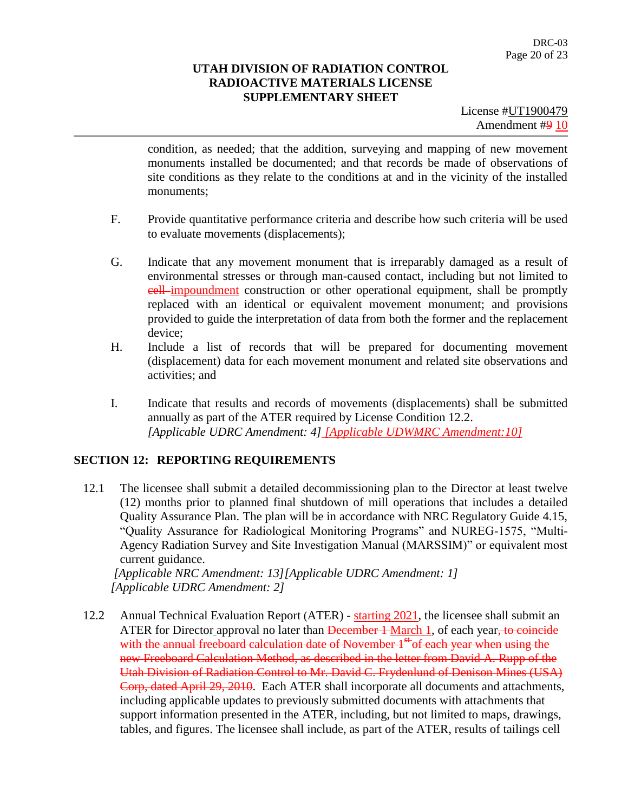License #UT1900479 Amendment #9 10

condition, as needed; that the addition, surveying and mapping of new movement monuments installed be documented; and that records be made of observations of site conditions as they relate to the conditions at and in the vicinity of the installed monuments;

- F. Provide quantitative performance criteria and describe how such criteria will be used to evaluate movements (displacements);
- G. Indicate that any movement monument that is irreparably damaged as a result of environmental stresses or through man-caused contact, including but not limited to cell impoundment construction or other operational equipment, shall be promptly replaced with an identical or equivalent movement monument; and provisions provided to guide the interpretation of data from both the former and the replacement device;
- H. Include a list of records that will be prepared for documenting movement (displacement) data for each movement monument and related site observations and activities; and
- I. Indicate that results and records of movements (displacements) shall be submitted annually as part of the ATER required by License Condition 12.2. *[Applicable UDRC Amendment: 4] [Applicable UDWMRC Amendment:10]*

## **SECTION 12: REPORTING REQUIREMENTS**

12.1 The licensee shall submit a detailed decommissioning plan to the Director at least twelve (12) months prior to planned final shutdown of mill operations that includes a detailed Quality Assurance Plan. The plan will be in accordance with NRC Regulatory Guide 4.15, "Quality Assurance for Radiological Monitoring Programs" and NUREG-1575, "Multi-Agency Radiation Survey and Site Investigation Manual (MARSSIM)" or equivalent most current guidance.

*[Applicable NRC Amendment: 13][Applicable UDRC Amendment: 1] [Applicable UDRC Amendment: 2]*

12.2 Annual Technical Evaluation Report (ATER) - starting 2021, the licensee shall submit an ATER for Director approval no later than <del>December 1</del> March 1, of each year, to coincide with the annual freeboard calculation date of November  $1<sup>st</sup>$  of each year when using the new Freeboard Calculation Method, as described in the letter from David A. Rupp of the Utah Division of Radiation Control to Mr. David C. Frydenlund of Denison Mines (USA) Corp, dated April 29, 2010. Each ATER shall incorporate all documents and attachments, including applicable updates to previously submitted documents with attachments that support information presented in the ATER, including, but not limited to maps, drawings, tables, and figures. The licensee shall include, as part of the ATER, results of tailings cell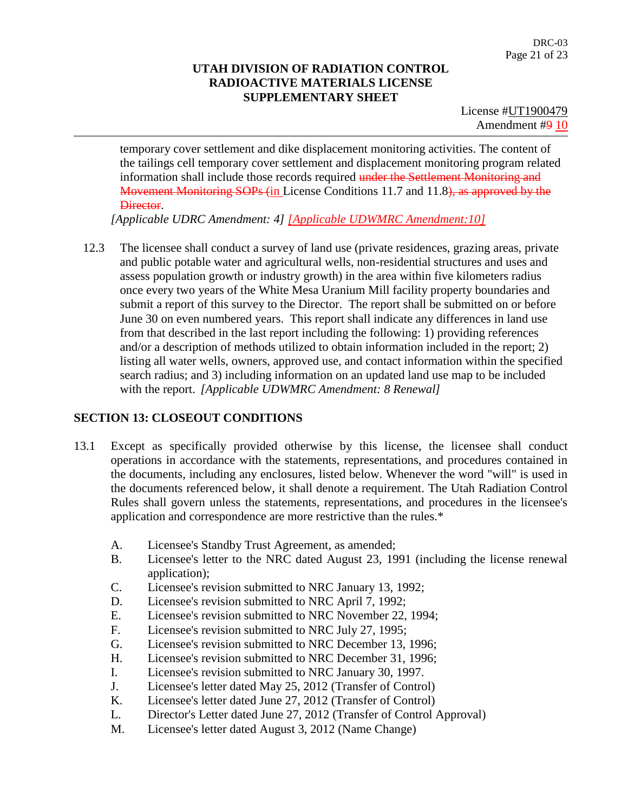License #UT1900479 Amendment #9 10

temporary cover settlement and dike displacement monitoring activities. The content of the tailings cell temporary cover settlement and displacement monitoring program related information shall include those records required under the Settlement Monitoring and Movement Monitoring SOPs (in License Conditions 11.7 and 11.8), as approved by the Director.

*[Applicable UDRC Amendment: 4] [Applicable UDWMRC Amendment:10]*

12.3 The licensee shall conduct a survey of land use (private residences, grazing areas, private and public potable water and agricultural wells, non-residential structures and uses and assess population growth or industry growth) in the area within five kilometers radius once every two years of the White Mesa Uranium Mill facility property boundaries and submit a report of this survey to the Director. The report shall be submitted on or before June 30 on even numbered years. This report shall indicate any differences in land use from that described in the last report including the following: 1) providing references and/or a description of methods utilized to obtain information included in the report; 2) listing all water wells, owners, approved use, and contact information within the specified search radius; and 3) including information on an updated land use map to be included with the report. *[Applicable UDWMRC Amendment: 8 Renewal]*

## **SECTION 13: CLOSEOUT CONDITIONS**

- 13.1 Except as specifically provided otherwise by this license, the licensee shall conduct operations in accordance with the statements, representations, and procedures contained in the documents, including any enclosures, listed below. Whenever the word "will" is used in the documents referenced below, it shall denote a requirement. The Utah Radiation Control Rules shall govern unless the statements, representations, and procedures in the licensee's application and correspondence are more restrictive than the rules.\*
	- A. Licensee's Standby Trust Agreement, as amended;
	- B. Licensee's letter to the NRC dated August 23, 1991 (including the license renewal application);
	- C. Licensee's revision submitted to NRC January 13, 1992;
	- D. Licensee's revision submitted to NRC April 7, 1992;
	- E. Licensee's revision submitted to NRC November 22, 1994;
	- F. Licensee's revision submitted to NRC July 27, 1995;
	- G. Licensee's revision submitted to NRC December 13, 1996;
	- H. Licensee's revision submitted to NRC December 31, 1996;
	- I. Licensee's revision submitted to NRC January 30, 1997.
	- J. Licensee's letter dated May 25, 2012 (Transfer of Control)
	- K. Licensee's letter dated June 27, 2012 (Transfer of Control)
	- L. Director's Letter dated June 27, 2012 (Transfer of Control Approval)
	- M. Licensee's letter dated August 3, 2012 (Name Change)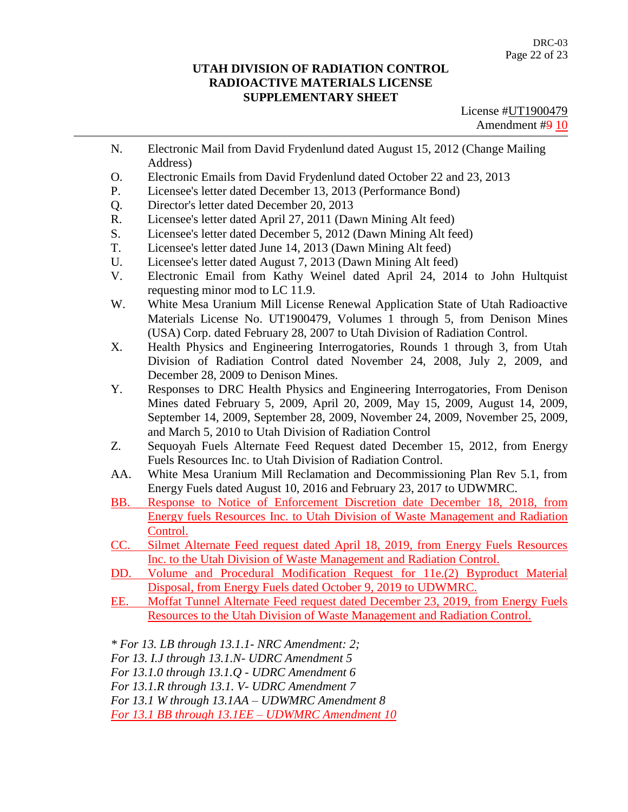License #UT1900479 Amendment #9 10

- N. Electronic Mail from David Frydenlund dated August 15, 2012 (Change Mailing Address)
- O. Electronic Emails from David Frydenlund dated October 22 and 23, 2013
- P. Licensee's letter dated December 13, 2013 (Performance Bond)
- Q. Director's letter dated December 20, 2013
- R. Licensee's letter dated April 27, 2011 (Dawn Mining Alt feed)
- S. Licensee's letter dated December 5, 2012 (Dawn Mining Alt feed)
- T. Licensee's letter dated June 14, 2013 (Dawn Mining Alt feed)
- U. Licensee's letter dated August 7, 2013 (Dawn Mining Alt feed)
- V. Electronic Email from Kathy Weinel dated April 24, 2014 to John Hultquist requesting minor mod to LC 11.9.
- W. White Mesa Uranium Mill License Renewal Application State of Utah Radioactive Materials License No. UT1900479, Volumes 1 through 5, from Denison Mines (USA) Corp. dated February 28, 2007 to Utah Division of Radiation Control.
- X. Health Physics and Engineering Interrogatories, Rounds 1 through 3, from Utah Division of Radiation Control dated November 24, 2008, July 2, 2009, and December 28, 2009 to Denison Mines.
- Y. Responses to DRC Health Physics and Engineering Interrogatories, From Denison Mines dated February 5, 2009, April 20, 2009, May 15, 2009, August 14, 2009, September 14, 2009, September 28, 2009, November 24, 2009, November 25, 2009, and March 5, 2010 to Utah Division of Radiation Control
- Z. Sequoyah Fuels Alternate Feed Request dated December 15, 2012, from Energy Fuels Resources Inc. to Utah Division of Radiation Control.
- AA. White Mesa Uranium Mill Reclamation and Decommissioning Plan Rev 5.1, from Energy Fuels dated August 10, 2016 and February 23, 2017 to UDWMRC.
- BB. Response to Notice of Enforcement Discretion date December 18, 2018, from Energy fuels Resources Inc. to Utah Division of Waste Management and Radiation Control.
- CC. Silmet Alternate Feed request dated April 18, 2019, from Energy Fuels Resources Inc. to the Utah Division of Waste Management and Radiation Control.
- DD. Volume and Procedural Modification Request for 11e.(2) Byproduct Material Disposal, from Energy Fuels dated October 9, 2019 to UDWMRC.
- EE. Moffat Tunnel Alternate Feed request dated December 23, 2019, from Energy Fuels Resources to the Utah Division of Waste Management and Radiation Control.

*\* For 13. LB through 13.1.1- NRC Amendment: 2;*

*For 13. I.J through 13.1.N- UDRC Amendment 5*

*For 13.1.0 through 13.1.Q - UDRC Amendment 6*

*For 13.1.R through 13.1. V- UDRC Amendment 7*

*For 13.1 W through 13.1AA – UDWMRC Amendment 8*

*For 13.1 BB through 13.1EE – UDWMRC Amendment 10*